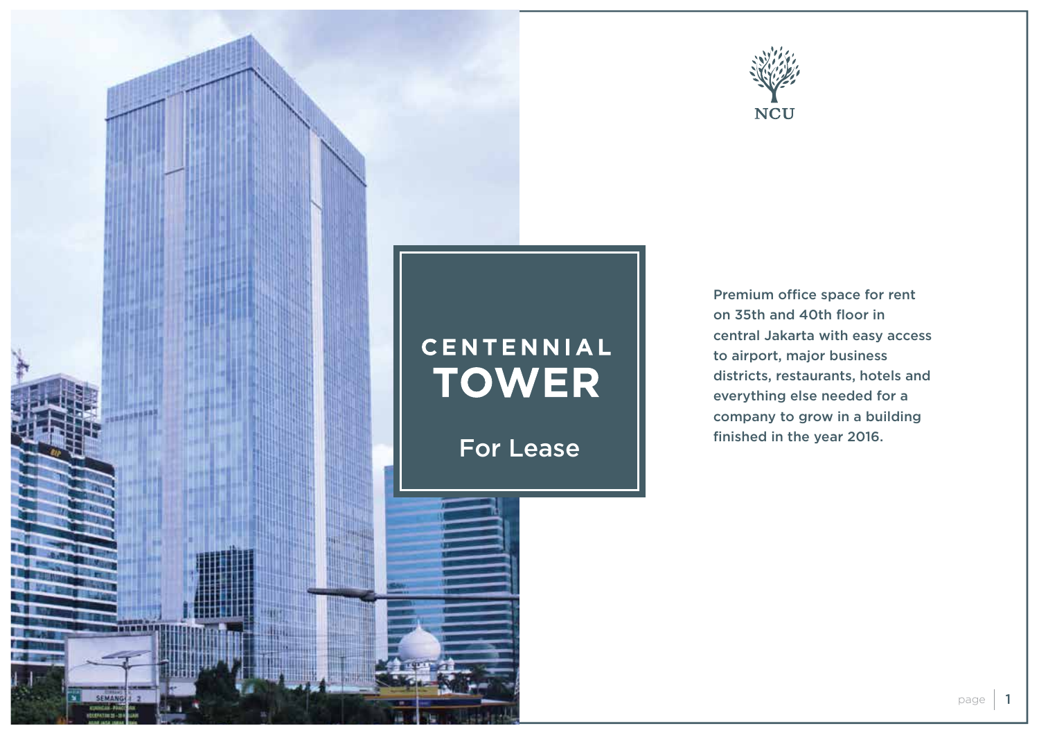



Premium office space for rent on 35th and 40th floor in central Jakarta with easy access to airport, major business districts, restaurants, hotels and everything else needed for a company to grow in a building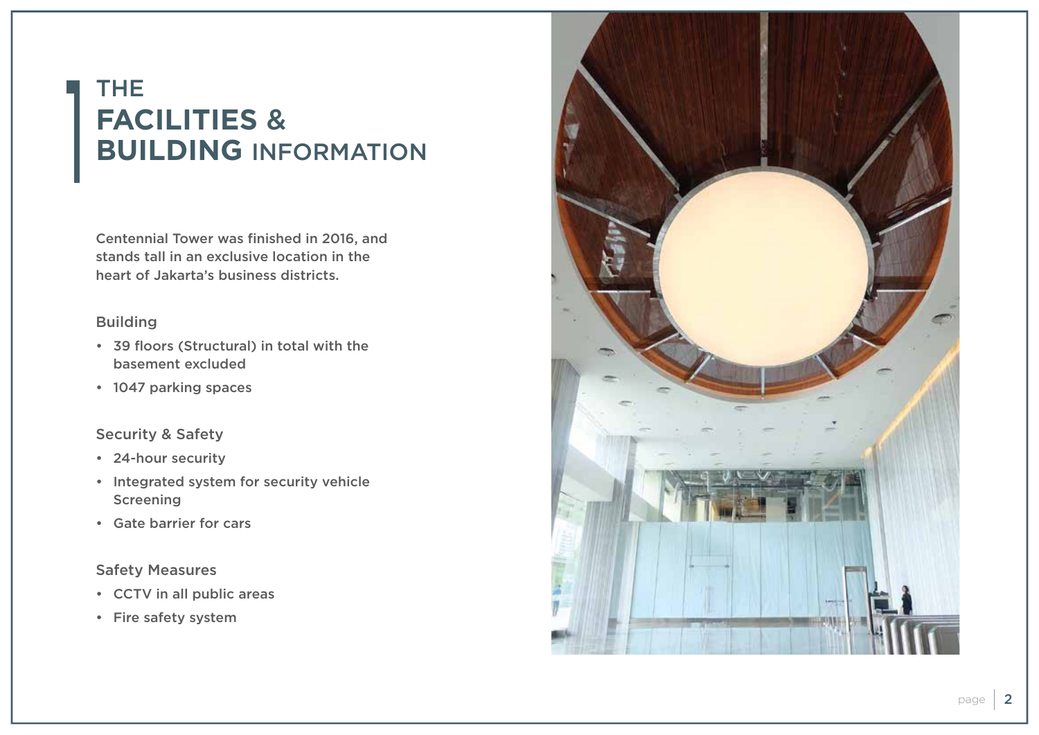# THE **FACILITIES**  & **BUILDING** INFORMATION

Centennial Tower was finished in 2016, and stands tall in an exclusive location in the heart of Jakarta's business districts.

#### Building

- 39 floors (Structural) in total with the basement excluded
- 1047 parking spaces

#### Security & Safety

- 24-hour security
- Integrated system for security vehicle Screening
- Gate barrier for cars

#### Safety Measures

- CCTV in all public areas
- Fire safety system

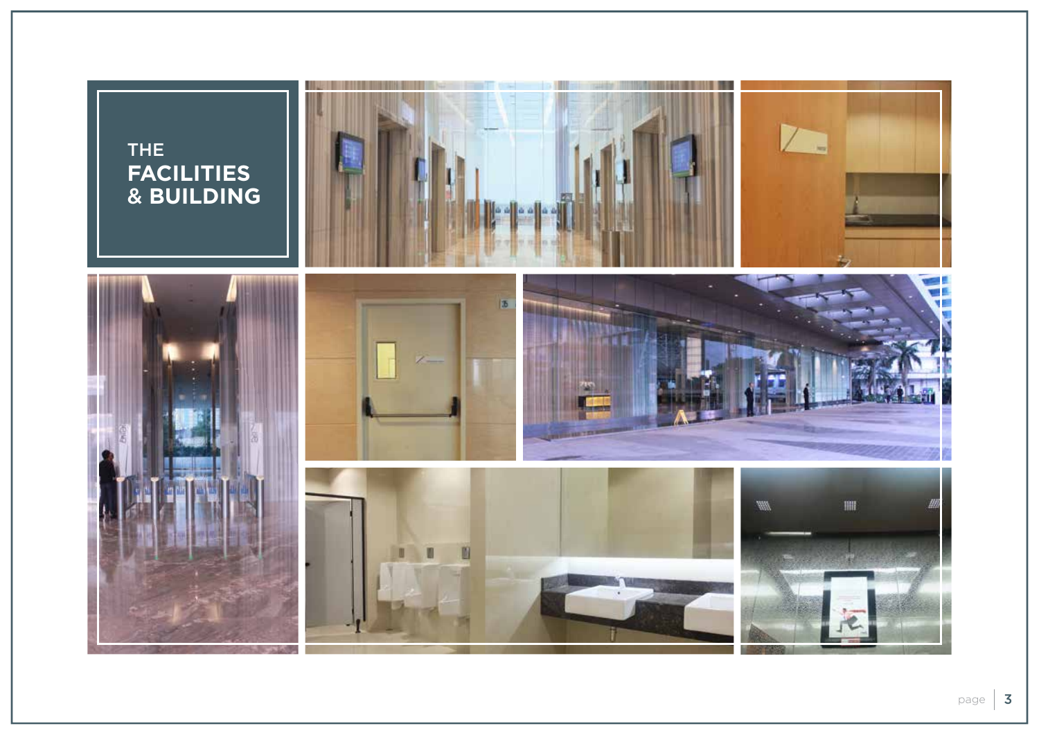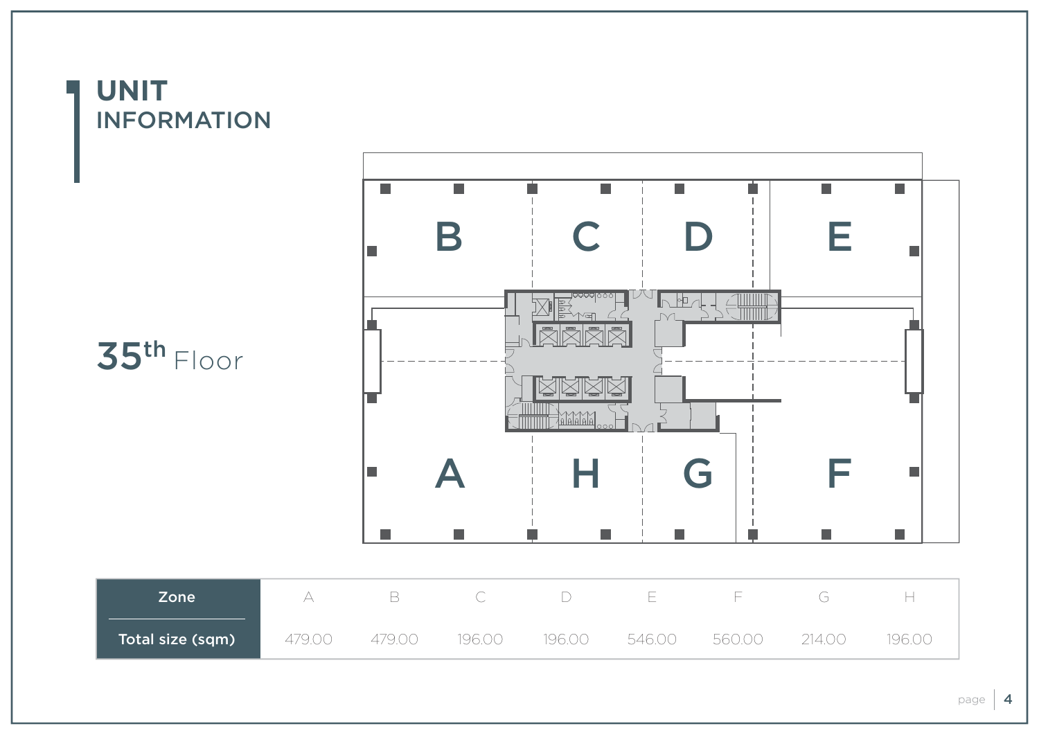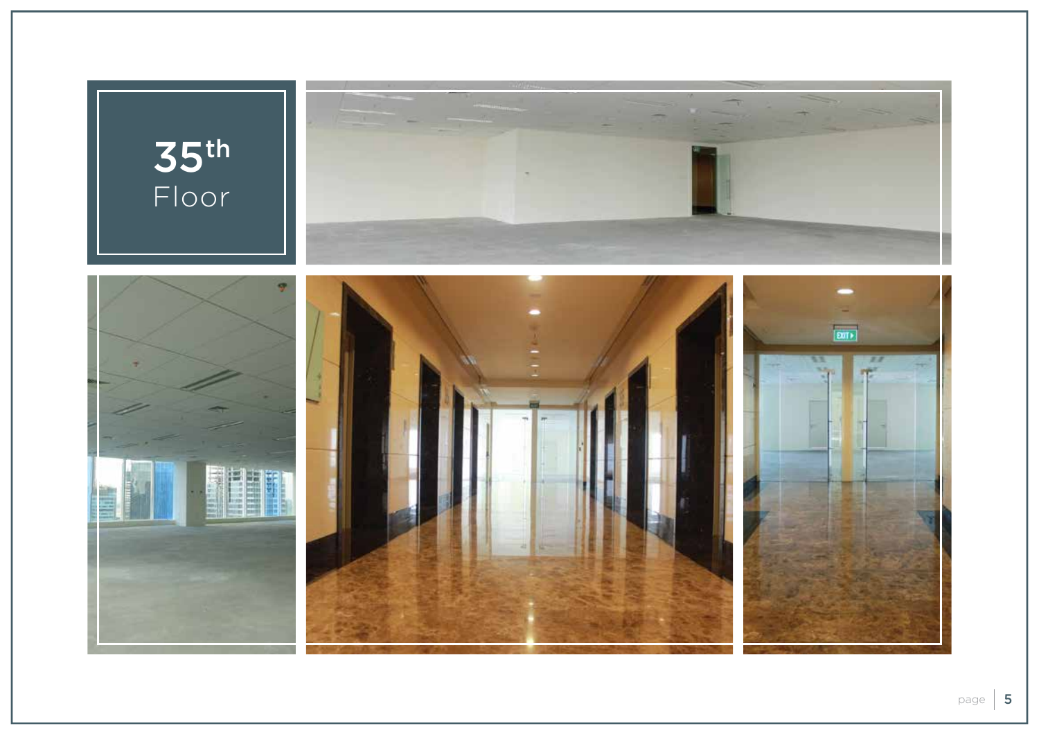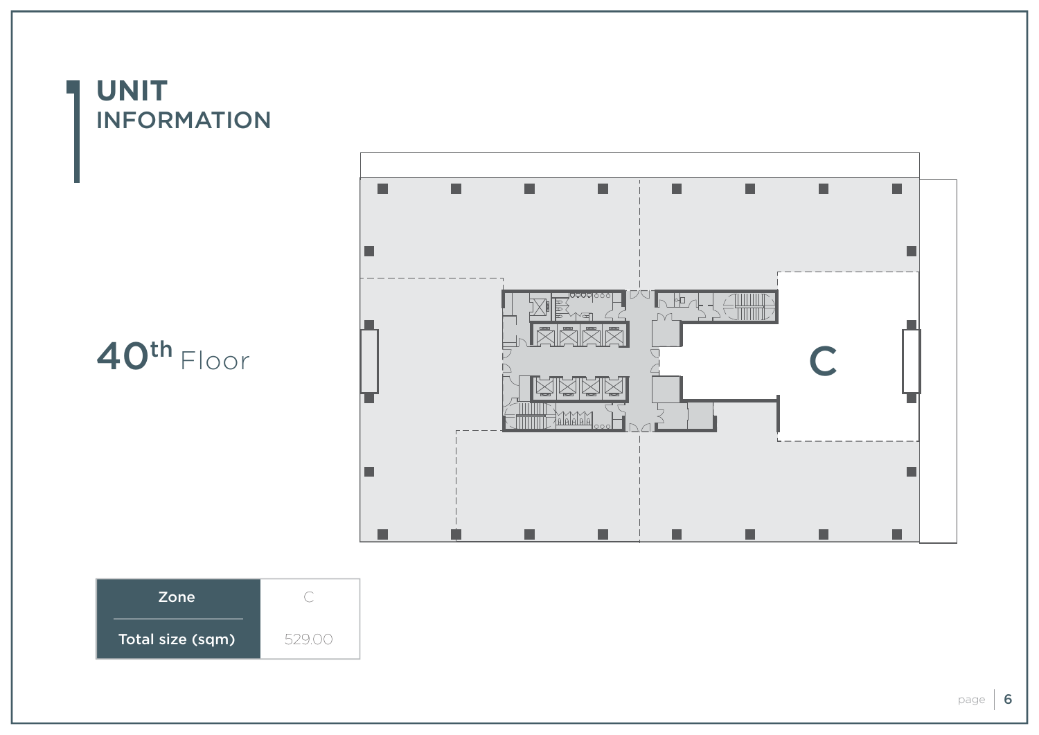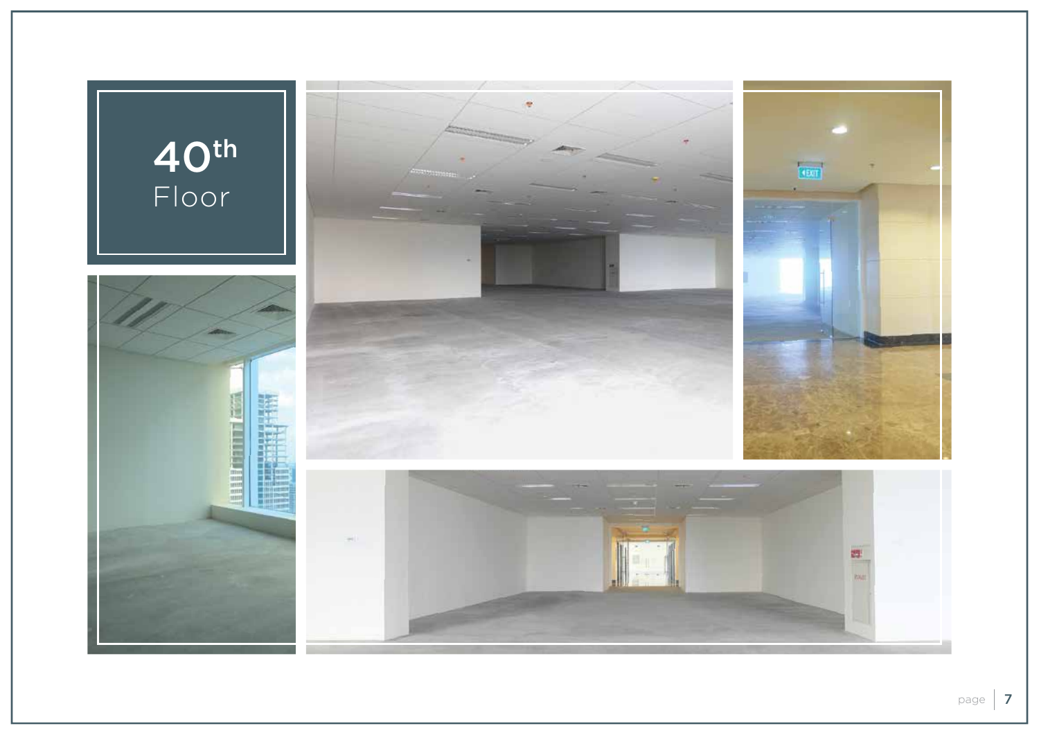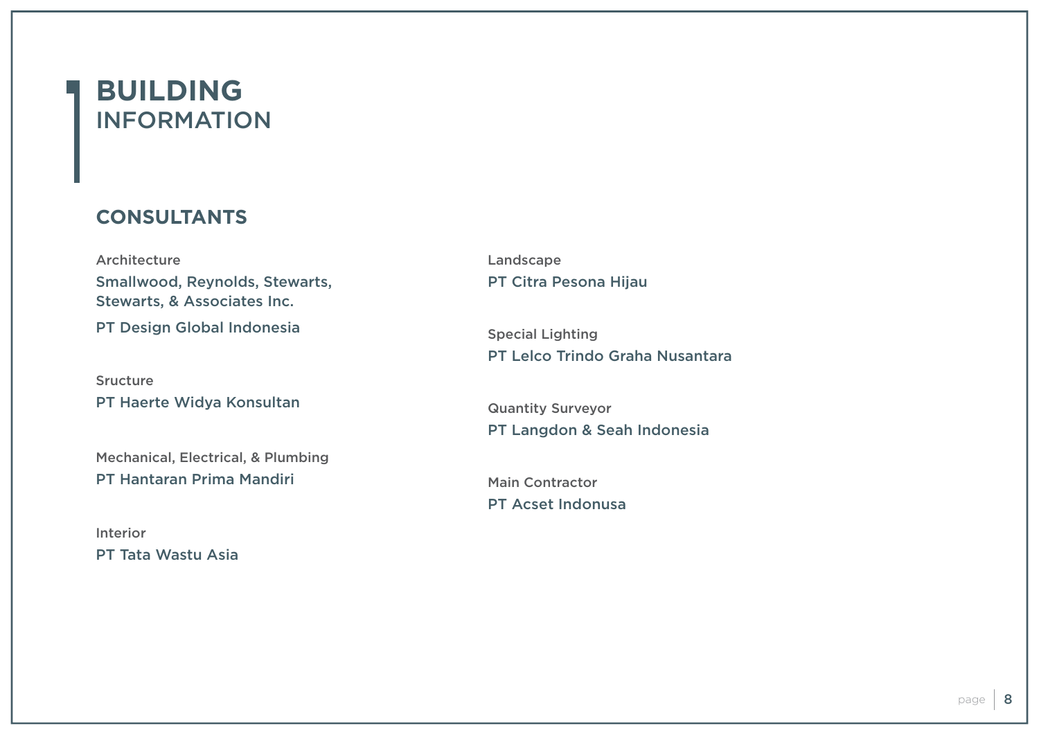### **BUILDING** INFORMATION

### **CONSULTANTS**

Architecture Smallwood, Reynolds, Stewarts, Stewarts, & Associates Inc. PT Design Global Indonesia

Sructure PT Haerte Widya Konsultan

Mechanical, Electrical, & Plumbing PT Hantaran Prima Mandiri

Interior PT Tata Wastu Asia Landscape PT Citra Pesona Hijau

Special Lighting PT Lelco Trindo Graha Nusantara

Quantity Surveyor PT Langdon & Seah Indonesia

Main Contractor PT Acset Indonusa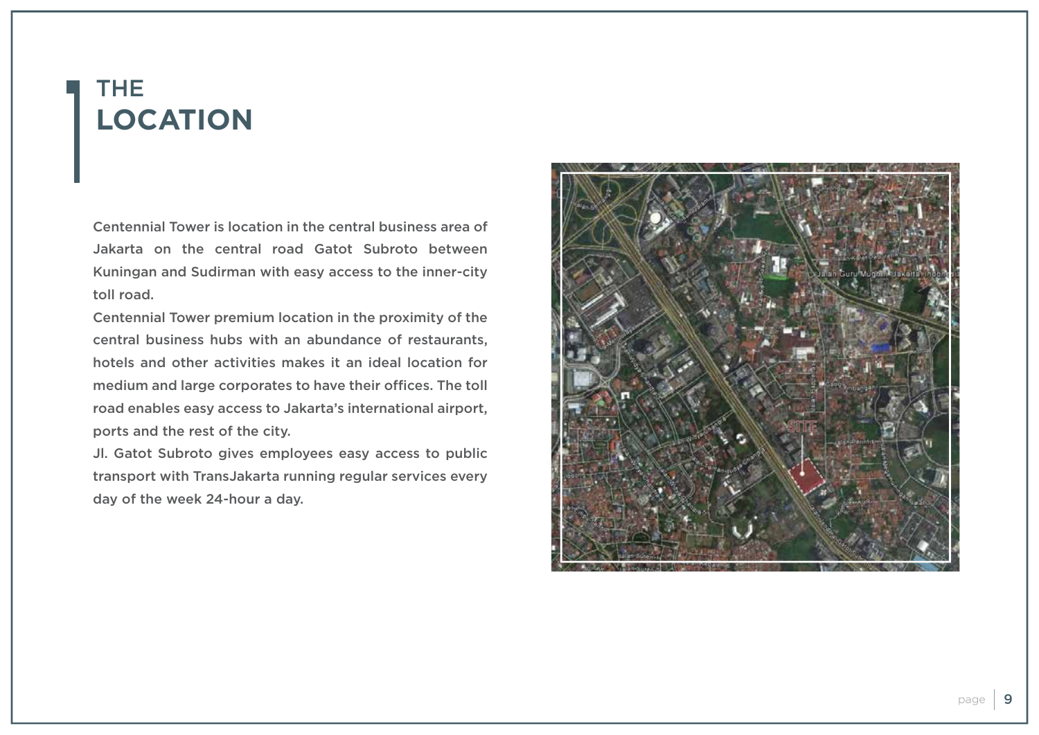## THE **LOCATION**

Centennial Tower is location in the central business area of Jakarta on the central road Gatot Subroto between Kuningan and Sudirman with easy access to the inner-city toll road.

Centennial Tower premium location in the proximity of the central business hubs with an abundance of restaurants, hotels and other activities makes it an ideal location for medium and large corporates to have their offices. The toll road enables easy access to Jakarta's international airport, ports and the rest of the city.

Jl. Gatot Subroto gives employees easy access to public transport with TransJakarta running regular services every day of the week 24-hour a day.